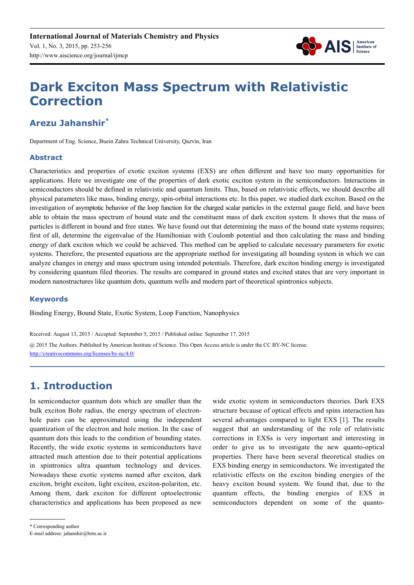

# **Dark Exciton Mass Spectrum with Relativistic Correction**

## **Arezu Jahanshir\***

Department of Eng. Science, Buein Zahra Technical University, Qazvin, Iran

### **Abstract**

Characteristics and properties of exotic exciton systems (EXS) are often different and have too many opportunities for applications. Here we investigate one of the properties of dark exotic exciton system in the semiconductors. Interactions in semiconductors should be defined in relativistic and quantum limits. Thus, based on relativistic effects, we should describe all physical parameters like mass, binding energy, spin-orbital interactions etc. In this paper, we studied dark exciton. Based on the investigation of asymptotic behavior of the loop function for the charged scalar particles in the external gauge field, and have been able to obtain the mass spectrum of bound state and the constituent mass of dark exciton system. It shows that the mass of particles is different in bound and free states. We have found out that determining the mass of the bound state systems requires; first of all, determine the eigenvalue of the Hamiltonian with Coulomb potential and then calculating the mass and binding energy of dark exciton which we could be achieved. This method can be applied to calculate necessary parameters for exotic systems. Therefore, the presented equations are the appropriate method for investigating all bounding system in which we can analyze changes in energy and mass spectrum using intended potentials. Therefore, dark exciton binding energy is investigated by considering quantum filed theories. The results are compared in ground states and excited states that are very important in modern nanostructures like quantum dots, quantum wells and modern part of theoretical spintronics subjects.

#### **Keywords**

Binding Energy, Bound State, Exotic System, Loop Function, Nanophysics

Received: August 13, 2015 / Accepted: September 5, 2015 / Published online: September 17, 2015

@ 2015 The Authors. Published by American Institute of Science. This Open Access article is under the CC BY-NC license. http://creativecommons.org/licenses/by-nc/4.0/

## **1. Introduction**

In semiconductor quantum dots which are smaller than the bulk exciton Bohr radius, the energy spectrum of electronhole pairs can be approximated using the independent quantization of the electron and hole motion. In the case of quantum dots this leads to the condition of bounding states. Recently, the wide exotic systems in semiconductors have attracted much attention due to their potential applications in spintronics ultra quantum technology and devices. Nowadays these exotic systems named after exciton, dark exciton, bright exciton, light exciton, exciton-polariton, etc. Among them, dark exciton for different optoelectronic characteristics and applications has been proposed as new wide exotic system in semiconductors theories. Dark EXS structure because of optical effects and spins interaction has several advantages compared to light EXS [1]. The results suggest that an understanding of the role of relativistic corrections in EXSs is very important and interesting in order to give us to investigate the new quanto-optical properties. There have been several theoretical studies on EXS binding energy in semiconductors. We investigated the relativistic effects on the exciton binding energies of the heavy exciton bound system. We found that, due to the quantum effects, the binding energies of EXS in semiconductors dependent on some of the quanto-

E-mail address: jahanshir@bzte.ac.ir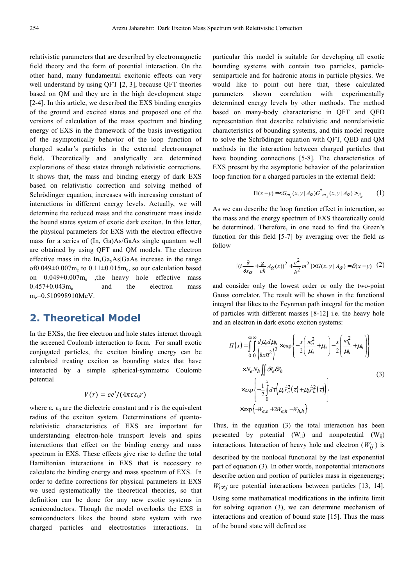relativistic parameters that are described by electromagnetic field theory and the form of potential interaction. On the other hand, many fundamental excitonic effects can very well understand by using QFT [2, 3], because QFT theories based on QM and they are in the high development stage [2-4]. In this article, we described the EXS binding energies of the ground and excited states and proposed one of the versions of calculation of the mass spectrum and binding energy of EXS in the framework of the basis investigation of the asymptotically behavior of the loop function of charged scalar's particles in the external electromagnet field. Theoretically and analytically are determined explorations of these states through relativistic corrections. It shows that, the mass and binding energy of dark EXS based on relativistic correction and solving method of Schrödinger equation, increases with increasing constant of interactions in different energy levels. Actually, we will determine the reduced mass and the constituent mass inside the bound states system of exotic dark exciton. In this letter, the physical parameters for EXS with the electron effective mass for a series of (In, Ga)As/GaAs single quantum well are obtained by using QFT and QM models. The electron effective mass in the  $In<sub>x</sub>Ga<sub>v</sub>As|GaAs$  increase in the range of $0.049 \pm 0.007$  m<sub>e</sub> to  $0.11 \pm 0.015$  m<sub>e</sub>, so our calculation based on 0.049±0.007m<sup>e</sup> ,the heavy hole effective mass  $0.457\pm0.043$ m<sub>e</sub> and the electron mass m<sub>e</sub>=0.510998910MeV.

## **2. Theoretical Model**

In the EXSs, the free electron and hole states interact through the screened Coulomb interaction to form. For small exotic conjugated particles, the exciton binding energy can be calculated treating exciton as bounding states that have interacted by a simple spherical-symmetric Coulomb potential

$$
V(r) = ee'/(4\pi\varepsilon\varepsilon_0 r)
$$

where  $\varepsilon$ ,  $\varepsilon_0$  are the dielectric constant and r is the equivalent radius of the exciton system. Determinations of quantorelativistic characteristics of EXS are important for understanding electron-hole transport levels and spins interactions that effect on the binding energy and mass spectrum in EXS. These effects give rise to define the total Hamiltonian interactions in EXS that is necessary to calculate the binding energy and mass spectrum of EXS. In order to define corrections for physical parameters in EXS we used systematically the theoretical theories, so that definition can be done for any new exotic systems in semiconductors. Though the model overlooks the EXS in semiconductors likes the bound state system with two charged particles and electrostatics interactions. In

particular this model is suitable for developing all exotic bounding systems with contain two particles, particlesemiparticle and for hadronic atoms in particle physics. We would like to point out here that, these calculated parameters shown correlation with experimentally determined energy levels by other methods. The method based on many-body characteristic in QFT and QED representation that describe relativistic and nonrelativistic characteristics of bounding systems, and this model require to solve the Schrödinger equation with QFT, QED and QM methods in the interaction between charged particles that have bounding connections [5-8]. The characteristics of EXS present by the asymptotic behavior of the polarization loop function for a charged particles in the external field:

$$
\Pi(x - y) = G_{m_e}(x, y \mid A_{\alpha}) \overline{G}^*_{m_h}(x, y \mid A_{\alpha}) >_{A_{\alpha}}
$$
 (1)

As we can describe the loop function effect in interaction, so the mass and the energy spectrum of EXS theoretically could be determined. Therefore, in one need to find the Green's function for this field [5-7] by averaging over the field as follow

$$
[(i\frac{\partial}{\partial x_{\alpha}} + \frac{g}{c\hbar}A_{\alpha}(x))^2 + \frac{c^2}{\hbar^2}m^2] \times G(x, y | A_{\alpha}) = \delta(x - y)
$$
 (2)

and consider only the lowest order or only the two-point Gauss correlator. The result will be shown in the functional integral that likes to the Feynman path integral for the motion of particles with different masses [8-12] i.e. the heavy hole and an electron in dark exotic exciton systems:

$$
II(x) = \int_{0}^{\infty} \int_{0}^{\infty} \frac{d\mu_{e} d\mu_{h}}{(8x\pi^{2})^{2}} \times \exp\left\{-\frac{x}{2} \left(\frac{m_{e}^{2}}{\mu_{e}} + \mu_{e}\right) - \frac{x}{2} \left(\frac{m_{h}^{2}}{\mu_{h}} + \mu_{h}\right)\right\}
$$
  
\n
$$
\times N_{e} N_{h} \iint \delta \vec{r}_{e} \delta \vec{r}_{h}
$$
  
\n
$$
\times \exp\left\{-\frac{1}{2} \int_{0}^{x} d\tau \left(\mu_{e} \dot{\vec{r}}_{e}^{2}(\tau) + \mu_{h} \dot{\vec{r}}_{h}^{2}(\tau)\right)\right\}
$$
  
\n
$$
\times \exp\left\{-W_{e,e} + 2W_{e,h} - W_{h,h}\right\}
$$
  
\n(3)

Thus, in the equation (3) the total interaction has been presented by potential  $(W_{ii})$  and nonpotential  $(W_{ii})$ interactions. Interaction of heavy hole and electron  $(W_{ii})$  is described by the nonlocal functional by the last exponential part of equation (3). In other words, nonpotential interactions describe action and portion of particles mass in eigenenergy;  $W_{i \neq j}$  are potential interactions between particles [13, 14]. Using some mathematical modifications in the infinite limit for solving equation (3), we can determine mechanism of interactions and creation of bound state [15]. Thus the mass of the bound state will defined as: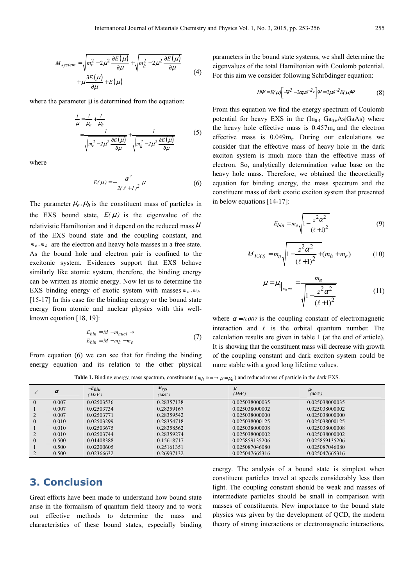$$
M_{system} = \sqrt{m_e^2 - 2\mu^2 \frac{\partial E(\mu)}{\partial \mu}} + \sqrt{m_h^2 - 2\mu^2 \frac{\partial E(\mu)}{\partial \mu}}
$$
  
+  $\mu \frac{\partial E(\mu)}{\partial \mu} + E(\mu)$  (4)

where the parameter  $\mu$  is determined from the equation:

$$
\frac{I}{\mu} = \frac{I}{\mu_e} + \frac{I}{\mu_h}
$$
\n
$$
= \frac{I}{\sqrt{m_e^2 - 2\mu^2 \frac{\partial E(\mu)}{\partial \mu}}} + \frac{I}{\sqrt{m_h^2 - 2\mu^2 \frac{\partial E(\mu)}{\partial \mu}}}
$$
\n(5)

where

$$
E(\mu) = -\frac{\alpha^2}{2(\ell + 1)^2} \mu
$$
 (6)

The parameter  $\mu_e$ ,  $\mu_h$  is the constituent mass of particles in the EXS bound state,  $E(\mu)$  is the eigenvalue of the relativistic Hamiltonian and it depend on the reduced mass  $\mu$ of the EXS bound state and the coupling constant, and  $m_e$ ,  $m_h$  are the electron and heavy hole masses in a free state. As the bound hole and electron pair is confined to the excitonic system. Evidences support that EXS behave similarly like atomic system, therefore, the binding energy can be written as atomic energy. Now let us to determine the EXS binding energy of exotic system with masses  $m_e$ ,  $m_h$ [15-17] In this case for the binding energy or the bound state energy from atomic and nuclear physics with this wellknown equation [18, 19]:

$$
E_{bin} = M - m_{nucl} \rightarrow
$$
  
\n
$$
E_{bin} = M - m_h - m_e
$$
 (7)

From equation (6) we can see that for finding the binding energy equation and its relation to the other physical parameters in the bound state systems, we shall determine the eigenvalues of the total Hamiltonian with Coulomb potential. For this aim we consider following Schrödinger equation:

$$
H\Psi = E(\mu) \left[ -\nabla^2 - 2\alpha\mu \bar{\nu}^2 r \right] \Psi = 2\mu \bar{\nu}^2 E(\mu) \Psi \tag{8}
$$

From this equation we find the energy spectrum of Coulomb potential for heavy EXS in the  $(In_{0.4} Ga_{0.6}As|GaAs)$  where the heavy hole effective mass is  $0.457m<sub>e</sub>$  and the electron effective mass is  $0.049m_e$ . During our calculations we consider that the effective mass of heavy hole in the dark exciton system is much more than the effective mass of electron. So, analytically determination value base on the heavy hole mass. Therefore, we obtained the theoretically equation for binding energy, the mass spectrum and the constituent mass of dark exotic exciton system that presented in below equations [14-17]:

$$
E_{bin} = m_e \sqrt{1 - \frac{z^2 \alpha^2}{(\ell + 1)^2}}
$$
 (9)

$$
M_{EXS} = m_e \sqrt{1 - \frac{z^2 \alpha^2}{(\ell + 1)^2} + (m_h + m_e)}
$$
 (10)

$$
\mu = \mu_{\|_{m_h = \infty}} = \frac{m_e}{\sqrt{1 - \frac{z^2 \alpha^2}{(\ell + 1)^2}}}
$$
(11)

where  $\alpha = 0.007$  is the coupling constant of electromagnetic interaction and  $\ell$  is the orbital quantum number. The calculation results are given in table 1 (at the end of article). It is showing that the constituent mass will decrease with growth of the coupling constant and dark exciton system could be more stable with a good long lifetime values.

**Table 1.** Binding energy, mass spectrum, constituents ( $m_h \approx \infty \to \mu = \mu_e$ ) and reduced mass of particle in the dark EXS.

|                | $\alpha$ | $-E_{bin}$ | $M_{SVS}$  | $\mu$          | $\mu_e$        |  |
|----------------|----------|------------|------------|----------------|----------------|--|
|                |          | (MeV)      | (MeV)      | (MeV)          | (MeV)          |  |
| $\Omega$       | 0.007    | 0.02503536 | 0.28357138 | 0.025038000035 | 0.025038000035 |  |
|                | 0.007    | 0.02503734 | 0.28359167 | 0.025038000002 | 0.025038000002 |  |
|                | 0.007    | 0.02503771 | 0.28359542 | 0.025038000000 | 0.025038000000 |  |
| $\Omega$       | 0.010    | 0.02503299 | 0.28354718 | 0.025038000125 | 0.025038000125 |  |
|                | 0.010    | 0.02503675 | 0.28358562 | 0.025038000008 | 0.025038000008 |  |
|                | 0.010    | 0.02503744 | 0.28359274 | 0.025038000002 | 0.025038000002 |  |
| $\overline{0}$ | 0.500    | 0.01408388 | 0.15618717 | 0.025859135206 | 0.025859135206 |  |
|                | 0.500    | 0.02200605 | 0.25161351 | 0.025087046080 | 0.025087046080 |  |
|                | 0.500    | 0.02366632 | 0.26937132 | 0.025047665316 | 0.025047665316 |  |

## **3. Conclusion**

Great efforts have been made to understand how bound state arise in the formalism of quantum field theory and to work out effective methods to determine the mass and characteristics of these bound states, especially binding energy. The analysis of a bound state is simplest when constituent particles travel at speeds considerably less than light. The coupling constant should be weak and masses of intermediate particles should be small in comparison with masses of constituents. New importance to the bound state physics was given by the development of QCD, the modern theory of strong interactions or electromagnetic interactions,